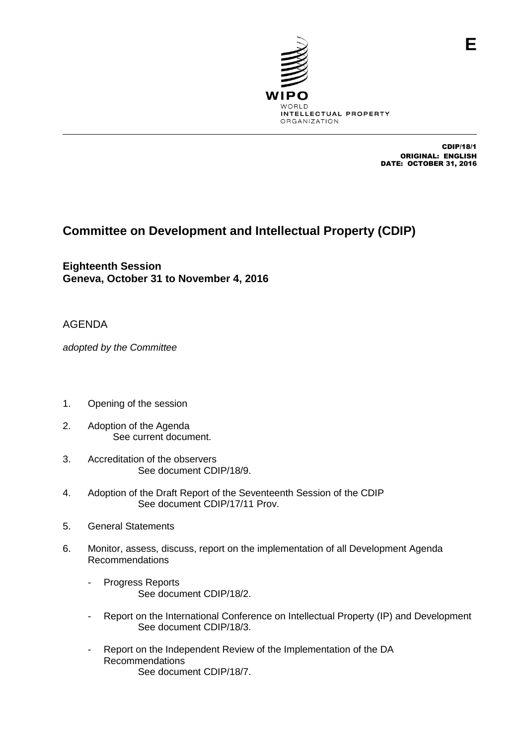

CDIP/18/1 ORIGINAL: ENGLISH DATE: OCTOBER 31, 2016

## **Committee on Development and Intellectual Property (CDIP)**

**Eighteenth Session Geneva, October 31 to November 4, 2016**

## AGENDA

*adopted by the Committee*

- 1. Opening of the session
- 2. Adoption of the Agenda See current document.
- 3. Accreditation of the observers See document CDIP/18/9.
- 4. Adoption of the Draft Report of the Seventeenth Session of the CDIP See document CDIP/17/11 Prov.
- 5. General Statements
- 6. Monitor, assess, discuss, report on the implementation of all Development Agenda Recommendations
	- Progress Reports See document CDIP/18/2.
	- Report on the International Conference on Intellectual Property (IP) and Development See document CDIP/18/3.
	- Report on the Independent Review of the Implementation of the DA Recommendations See document CDIP/18/7.

**E**